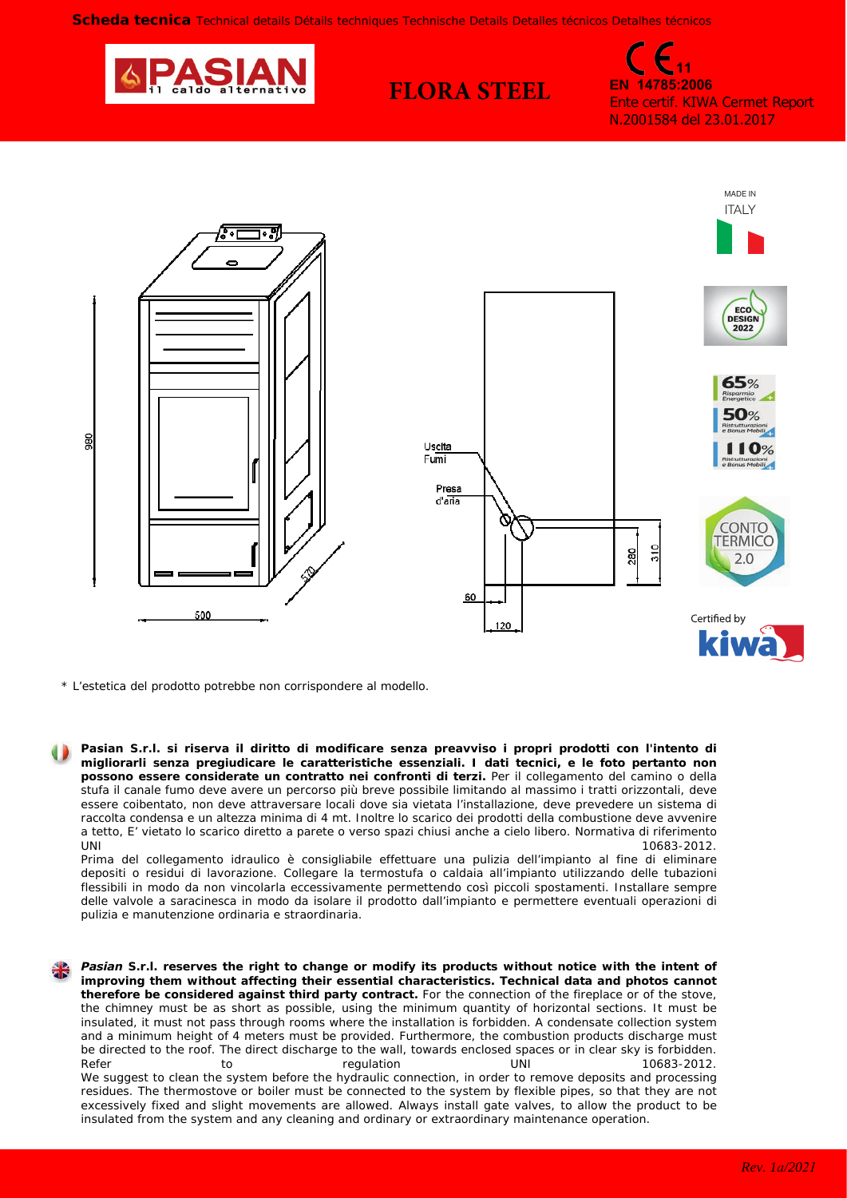**FLORA STEEL**



**11 EN 14785:2006** Ente certif. KIWA Cermet Report N.2001584 del 23.01.2017



*\* L'estetica del prodotto potrebbe non corrispondere al modello.*

**Pasian S.r.l. si riserva il diritto di modificare senza preavviso i propri prodotti con l'intento di migliorarli senza pregiudicare le caratteristiche essenziali. I dati tecnici, e le foto pertanto non possono essere considerate un contratto nei confronti di terzi.** Per il collegamento del camino o della stufa il canale fumo deve avere un percorso più breve possibile limitando al massimo i tratti orizzontali, deve essere coibentato, non deve attraversare locali dove sia vietata l'installazione, deve prevedere un sistema di raccolta condensa e un altezza minima di 4 mt. Inoltre lo scarico dei prodotti della combustione deve avvenire a tetto, E' vietato lo scarico diretto a parete o verso spazi chiusi anche a cielo libero. Normativa di riferimento  $UNI$  10683-2012.

Prima del collegamento idraulico è consigliabile effettuare una pulizia dell'impianto al fine di eliminare depositi o residui di lavorazione. Collegare la termostufa o caldaia all'impianto utilizzando delle tubazioni flessibili in modo da non vincolarla eccessivamente permettendo così piccoli spostamenti. Installare sempre delle valvole a saracinesca in modo da isolare il prodotto dall'impianto e permettere eventuali operazioni di pulizia e manutenzione ordinaria e straordinaria.

*Pasian S.r.l. reserves the right to change or modify its products without notice with the intent of improving them without affecting their essential characteristics. Technical data and photos cannot therefore be considered against third party contract. For the connection of the fireplace or of the stove, the chimney must be as short as possible, using the minimum quantity of horizontal sections. It must be insulated, it must not pass through rooms where the installation is forbidden. A condensate collection system and a minimum height of 4 meters must be provided. Furthermore, the combustion products discharge must be directed to the roof. The direct discharge to the wall, towards enclosed spaces or in clear sky is forbidden. Refer to regulation UNI 10683-2012. We suggest to clean the system before the hydraulic connection, in order to remove deposits and processing residues. The thermostove or boiler must be connected to the system by flexible pipes, so that they are not excessively fixed and slight movements are allowed. Always install gate valves, to allow the product to be insulated from the system and any cleaning and ordinary or extraordinary maintenance operation.*